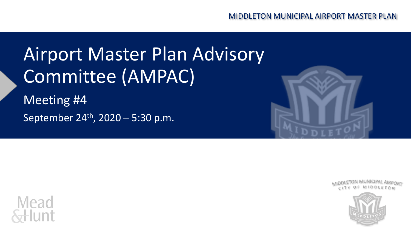## Airport Master Plan Advisory Committee (AMPAC)

Meeting #4 September 24th, 2020 – 5:30 p.m.







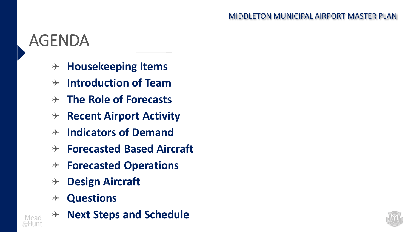### AGENDA

- **Housekeeping Items**  $\rightarrow$
- **Introduction of Team**  $\rightarrow$
- **The Role of Forecasts**
- **Recent Airport Activity**  $\rightarrow$
- **Indicators of Demand**  $\rightarrow$
- **Forecasted Based Aircraft**  $\rightarrow$
- **Forecasted Operations**  $\rightarrow$
- **Design Aircraft**  $\rightarrow$
- **Questions**  $\rightarrow$



**Next Steps and Schedule** $\rightarrow$ 

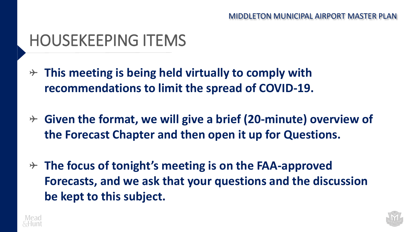### HOUSEKEEPING ITEMS

- **This meeting is being held virtually to comply with recommendations to limit the spread of COVID-19.**
- **Given the format, we will give a brief (20-minute) overview of the Forecast Chapter and then open it up for Questions.**
- **The focus of tonight's meeting is on the FAA-approved Forecasts, and we ask that your questions and the discussion be kept to this subject.**



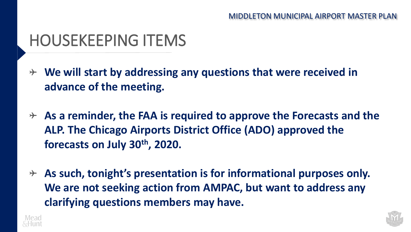### HOUSEKEEPING ITEMS

- **We will start by addressing any questions that were received in advance of the meeting.**
- **As a reminder, the FAA is required to approve the Forecasts and the ALP. The Chicago Airports District Office (ADO) approved the forecasts on July 30th, 2020.**
- **As such, tonight's presentation is for informational purposes only. We are not seeking action from AMPAC, but want to address any clarifying questions members may have.**



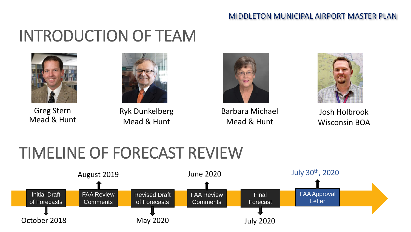## INTRODUCTION OF TEAM



Greg Stern Mead & Hunt



Ryk Dunkelberg Mead & Hunt



Barbara Michael Mead & Hunt



Josh Holbrook Wisconsin BOA

## TIMELINE OF FORECAST REVIEW

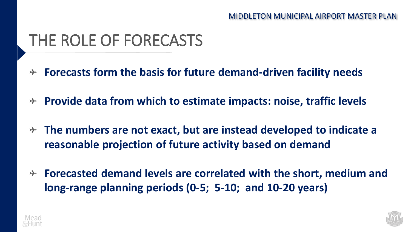### THE ROLE OF FORECASTS

- **Forecasts form the basis for future demand-driven facility needs**  $\rightarrow$
- **Provide data from which to estimate impacts: noise, traffic levels**   $\rightarrow$
- **The numbers are not exact, but are instead developed to indicate a reasonable projection of future activity based on demand**
- **Forecasted demand levels are correlated with the short, medium and long-range planning periods (0-5; 5-10; and 10-20 years)**



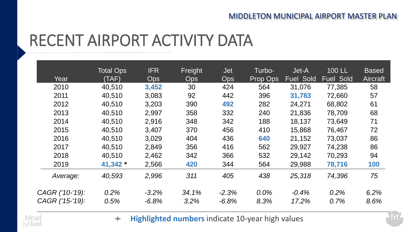### RECENT AIRPORT ACTIVITY DATA

|                 | <b>Total Ops</b> | <b>IFR</b> | Freight    | <b>Jet</b> | Turbo-   | Jet-A            | <b>100 LL</b>    | <b>Based</b>    |
|-----------------|------------------|------------|------------|------------|----------|------------------|------------------|-----------------|
| Year            | (TAF)            | <b>Ops</b> | <b>Ops</b> | <b>Ops</b> | Prop Ops | <b>Fuel Sold</b> | <b>Fuel Sold</b> | <b>Aircraft</b> |
| 2010            | 40,510           | 3,452      | 30         | 424        | 564      | 31,076           | 77,385           | 58              |
| 2011            | 40,510           | 3,083      | 92         | 442        | 396      | 31,783           | 72,660           | 57              |
| 2012            | 40,510           | 3,203      | 390        | 492        | 282      | 24,271           | 68,802           | 61              |
| 2013            | 40,510           | 2,997      | 358        | 332        | 240      | 21,836           | 78,709           | 68              |
| 2014            | 40,510           | 2,916      | 348        | 342        | 188      | 18,137           | 73,649           | 71              |
| 2015            | 40,510           | 3,407      | 370        | 456        | 410      | 15,868           | 76,467           | 72              |
| 2016            | 40,510           | 3,029      | 404        | 436        | 640      | 21,152           | 73,037           | 86              |
| 2017            | 40,510           | 2,849      | 356        | 416        | 562      | 29,927           | 74,238           | 86              |
| 2018            | 40,510           | 2,462      | 342        | 366        | 532      | 29,142           | 70,293           | 94              |
| 2019            | 41,342 *         | 2,566      | 420        | 344        | 564      | 29,988           | 78,716           | 100             |
| Average:        | 40,593           | 2,996      | 311        | 405        | 438      | 25,318           | 74,396           | 75              |
| CAGR ('10-'19): | 0.2%             | $-3.2%$    | 34.1%      | $-2.3%$    | 0.0%     | $-0.4%$          | 0.2%             | 6.2%            |
| CAGR ('15-'19): | 0.5%             | $-6.8%$    | 3.2%       | $-6.8\%$   | 8.3%     | 17.2%            | 0.7%             | 8.6%            |



**Highlighted numbers** indicate 10-year high values $\rightarrow$ 

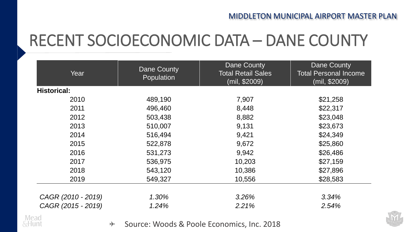### RECENT SOCIOECONOMIC DATA – DANE COUNTY

| Year               | Dane County<br>Population | <b>Dane County</b><br><b>Total Retail Sales</b><br>(mil, \$2009) | <b>Dane County</b><br><b>Total Personal Income</b><br>(mil, \$2009) |  |  |
|--------------------|---------------------------|------------------------------------------------------------------|---------------------------------------------------------------------|--|--|
| <b>Historical:</b> |                           |                                                                  |                                                                     |  |  |
| 2010               | 489,190                   | 7,907                                                            | \$21,258                                                            |  |  |
| 2011               | 496,460                   | 8,448                                                            | \$22,317                                                            |  |  |
| 2012               | 503,438                   | 8,882                                                            | \$23,048                                                            |  |  |
| 2013               | 510,007                   | 9,131                                                            | \$23,673                                                            |  |  |
| 2014               | 516,494                   | 9,421                                                            | \$24,349                                                            |  |  |
| 2015               | 522,878                   | 9,672                                                            | \$25,860                                                            |  |  |
| 2016               | 531,273                   | 9,942                                                            | \$26,486                                                            |  |  |
| 2017               | 536,975                   | 10,203                                                           | \$27,159                                                            |  |  |
| 2018               | 543,120                   | 10,386                                                           | \$27,896                                                            |  |  |
| 2019               | 549,327                   | 10,556                                                           | \$28,583                                                            |  |  |
| CAGR (2010 - 2019) | 1.30%                     | 3.26%                                                            | 3.34%                                                               |  |  |
| CAGR (2015 - 2019) | 1.24%                     | 2.21%                                                            | 2.54%                                                               |  |  |



Source: Woods & Poole Economics, Inc. 2018 $\rightarrow$ 

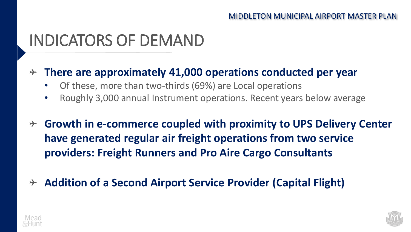#### INDICATORS OF DEMAND

#### **There are approximately 41,000 operations conducted per year**

- Of these, more than two-thirds (69%) are Local operations
- Roughly 3,000 annual Instrument operations. Recent years below average
- **Growth in e-commerce coupled with proximity to UPS Delivery Center have generated regular air freight operations from two service providers: Freight Runners and Pro Aire Cargo Consultants**
- **Addition of a Second Airport Service Provider (Capital Flight)** $\rightarrow$



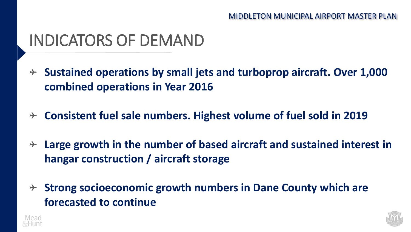#### INDICATORS OF DEMAND

- **Sustained operations by small jets and turboprop aircraft. Over 1,000 combined operations in Year 2016**
- **Consistent fuel sale numbers. Highest volume of fuel sold in 2019**   $\rightarrow$
- **Large growth in the number of based aircraft and sustained interest in hangar construction / aircraft storage**
- **Strong socioeconomic growth numbers in Dane County which are forecasted to continue**



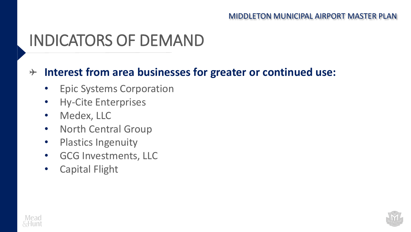### INDICATORS OF DEMAND

#### **Interest from area businesses for greater or continued use:**

- Epic Systems Corporation
- Hy-Cite Enterprises
- Medex, LLC
- North Central Group
- Plastics Ingenuity
- GCG Investments, LLC
- Capital Flight



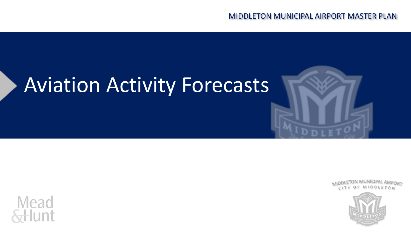# Aviation Activity Forecasts







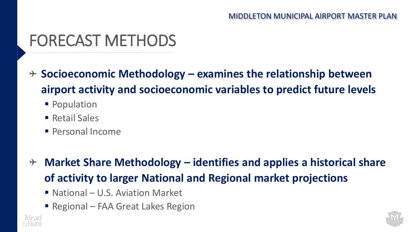### FORECAST METHODS

- **Socioeconomic Methodology – examines the relationship between airport activity and socioeconomic variables to predict future levels**
	- Population
	- $\blacksquare$  Retail Sales
	- **Personal Income**
- **Market Share Methodology – identifies and applies a historical share of activity to larger National and Regional market projections**
	- $\blacksquare$  National U.S. Aviation Market
	- Regional FAA Great Lakes Region



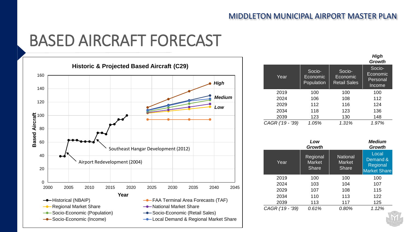#### BASED AIRCRAFT FORECAST



|                  |                                  |                                           | ,,,,,,<br>Growth                         |
|------------------|----------------------------------|-------------------------------------------|------------------------------------------|
| Year             | Socio-<br>Economic<br>Population | Socio-<br>Economic<br><b>Retail Sales</b> | Socio-<br>Economic<br>Personal<br>Income |
| 2019             | 100                              | 100                                       | 100                                      |
| 2024             | 106                              | 108                                       | 112                                      |
| 2029             | 112                              | 116                                       | 124                                      |
| 2034             | 118                              | 123                                       | 136                                      |
| 2039             | 123                              | 130                                       | 148                                      |
| CAGR ('19 - '39) | 1.05%                            | 1.31%                                     | 1.97%                                    |

|                  | Low<br>Growth                             |                                           | <b>Medium</b><br>Growth                              |
|------------------|-------------------------------------------|-------------------------------------------|------------------------------------------------------|
| Year             | Regional<br><b>Market</b><br><b>Share</b> | National<br><b>Market</b><br><b>Share</b> | Local<br>Demand &<br>Regional<br><b>Market Share</b> |
| 2019             | 100                                       | 100                                       | 100                                                  |
| 2024             | 103                                       | 104                                       | 107                                                  |
| 2029             | 107                                       | 108                                       | 115                                                  |
| 2034             | 110                                       | 113                                       | 122                                                  |
| 2039             | 113                                       | 117                                       | 125                                                  |
| CAGR ('19 - '39) | 0.61%                                     | 0.80%                                     | 1.12%                                                |

*High*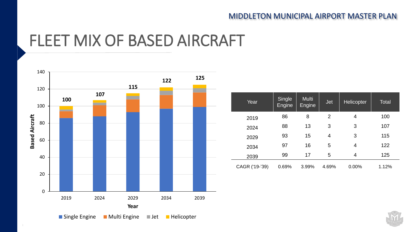#### FLEET MIX OF BASED AIRCRAFT



| Year           | Single<br>Engine | Multi<br>Engine | <b>Jet</b>     | <b>Helicopter</b> | <b>Total</b> |
|----------------|------------------|-----------------|----------------|-------------------|--------------|
| 2019           | 86               | 8               | $\overline{2}$ | 4                 | 100          |
| 2024           | 88               | 13              | 3              | 3                 | 107          |
| 2029           | 93               | 15              | 4              | 3                 | 115          |
| 2034           | 97               | 16              | 5              | 4                 | 122          |
| 2039           | 99               | 17              | 5              | 4                 | 125          |
| CAGR ('19-'39) | 0.69%            | 3.99%           | 4.69%          | 0.00%             | 1.12%        |

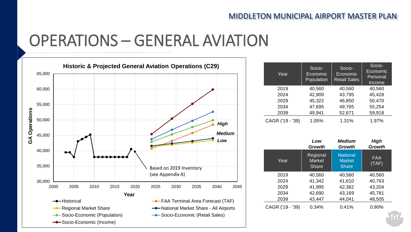#### OPERATIONS – GENERAL AVIATION



| Year             | Socio-<br>Economic<br>Population | Socio-<br>Economic<br><b>Retail Sales</b> | Socio-<br>Economic<br>Personal<br>Income |
|------------------|----------------------------------|-------------------------------------------|------------------------------------------|
| 2019             | 40,560                           | 40,560                                    | 40,560                                   |
| 2024             | 42,909                           | 43,795                                    | 45,428                                   |
| 2029             | 45,322                           | 46,850                                    | 50,470                                   |
| 2034             | 47,695                           | 49,765                                    | 55,254                                   |
| 2039             | 49,941                           | 52,671                                    | 59,918                                   |
| CAGR ('19 - '39) | 1.05%                            | 1.31%                                     | 1.97%                                    |

|                  | Low<br>Growth                             | Medium<br>Growth                                 | High<br><b>Growth</b> |
|------------------|-------------------------------------------|--------------------------------------------------|-----------------------|
| Year             | Regional<br><b>Market</b><br><b>Share</b> | <b>National</b><br><b>Market</b><br><b>Share</b> | <b>FAA</b><br>(TAF)   |
| 2019             | 40,560                                    | 40,560                                           | 40,560                |
| 2024             | 41,342                                    | 41,610                                           | 40,763                |
| 2029             | 41,995                                    | 42,362                                           | 43,204                |
| 2034             | 42,690                                    | 43,169                                           | 45,781                |
| 2039             | 43,447                                    | 44,041                                           | 48,505                |
| CAGR ('19 - '39) | 0.34%                                     | 0.41%                                            | 0.90%                 |

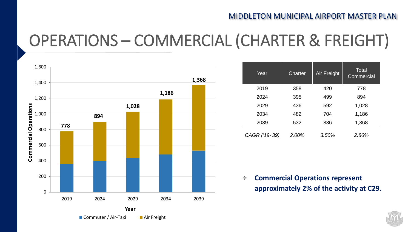## OPERATIONS – COMMERCIAL (CHARTER & FREIGHT)



| Year           | Charter | Air Freight | <b>Total</b><br>Commercial |
|----------------|---------|-------------|----------------------------|
| 2019           | 358     | 420         | 778                        |
| 2024           | 395     | 499         | 894                        |
| 2029           | 436     | 592         | 1,028                      |
| 2034           | 482     | 704         | 1,186                      |
| 2039           | 532     | 836         | 1,368                      |
| CAGR ('19-'39) | 2.00%   | 3.50%       | 2.86%                      |

**Commercial Operations represent**   $\rightarrow$ **approximately 2% of the activity at C29.**

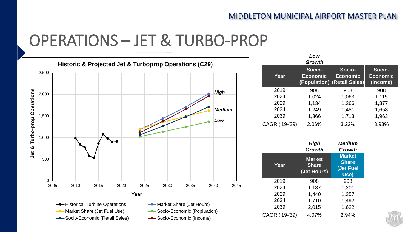#### OPERATIONS – JET & TURBO-PROP



|                | Low<br><b>Growth</b>      |                                                          |                                       |
|----------------|---------------------------|----------------------------------------------------------|---------------------------------------|
| Year           | Socio-<br><b>Economic</b> | Socio-<br><b>Economic</b><br>(Population) (Retail Sales) | Socio-<br><b>Economic</b><br>(Income) |
| 2019           | 908                       | 908                                                      | 908                                   |
| 2024           | 1,024                     | 1,063                                                    | 1,115                                 |
| 2029           | 1,134                     | 1,266                                                    | 1,377                                 |
| 2034           | 1,249                     | 1,481                                                    | 1,658                                 |
| 2039           | 1,366                     | 1,713                                                    | 1,963                                 |
| CAGR ('19-'39) | 2.06%                     | 3.22%                                                    | 3.93%                                 |

|                | High<br>Growth                               | <b>Medium</b><br>Growth                            |
|----------------|----------------------------------------------|----------------------------------------------------|
| Year           | <b>Market</b><br><b>Share</b><br>(Jet Hours) | <b>Market</b><br><b>Share</b><br>(Jet Fuel<br>Use) |
| 2019           | 908                                          | 908                                                |
| 2024           | 1,187                                        | 1,201                                              |
| 2029           | 1,440                                        | 1,357                                              |
| 2034           | 1,710                                        | 1,492                                              |
| 2039           | 2,015                                        | 1,622                                              |
| CAGR ('19-'39) | 4.07%                                        | 2.94%                                              |

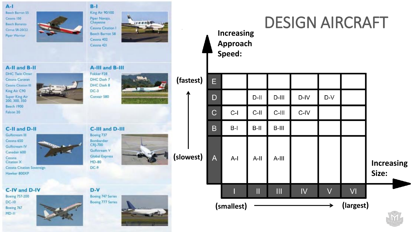| $A-I$<br>Beech Barron 55<br>Cessra 150<br>Beech Bonanza<br>Cirrus SR-20/22<br><b>Piper Warrior</b>                                 | $B-1$<br>King Air 90/100<br>Piper Navajo,<br>Cheyenne<br>Cessna Citation 1<br>Beech Barron 58<br>Cessna 402<br>Cessna 421 |           |                | <b>Increasing</b><br>Approach<br>Speed: |         |          | <b>DESIGN AIRCRAFT</b> |        |           |                            |  |
|------------------------------------------------------------------------------------------------------------------------------------|---------------------------------------------------------------------------------------------------------------------------|-----------|----------------|-----------------------------------------|---------|----------|------------------------|--------|-----------|----------------------------|--|
| A-II and B-II<br><b>DHC Twin Otter</b><br>Cessna Caravan<br>Cessna Citation III                                                    | A-III and B-III<br>Fokker F28<br>DHC Dash 7<br>DHC Dash 8                                                                 | (fastest) | E.             |                                         |         |          |                        |        |           |                            |  |
| King Air C90<br>Super King Air<br>200, 300, 350                                                                                    | $DC-3$<br>Convair 580                                                                                                     |           | D              |                                         | $D$ -II | $D$ -III | D-IV                   | $D-V$  |           |                            |  |
| <b>Beech 1900</b><br>Falcon 20                                                                                                     |                                                                                                                           |           | С              | $C-I$                                   | C-II    | C-III    | C-IV                   |        |           |                            |  |
| C-II and D-II                                                                                                                      | C-III and D-III                                                                                                           |           | B              | $B-I$                                   | $B-II$  | $B-III$  |                        |        |           |                            |  |
| Gulfstream III<br>Cessna 650<br>Gulfstream IV<br>Canadair 600<br>Cessna<br>Citation X<br>Cessna Citation Sovereign<br>Hawker 800XP | Boeing 737<br>Bombardier<br>CRJ-700<br>Guifstream V<br><b>Global Express</b><br>MD-80<br>$DC-9$                           | (slowest) | $\overline{A}$ | $A-I$                                   | $A-II$  | $A-III$  |                        |        |           | <b>Increasing</b><br>Size: |  |
| C-IV and D-IV<br><b>Boeing 757-200</b>                                                                                             | $D-V$<br><b>Boeing 747 Series</b>                                                                                         |           |                |                                         | Ш       | Ш        | IV                     | $\vee$ | VI        |                            |  |
| DC-10<br>Boeing 767<br>$MD-H$                                                                                                      | <b>Boeing 777 Series</b>                                                                                                  |           |                | (smallest)                              |         |          |                        |        | (largest) |                            |  |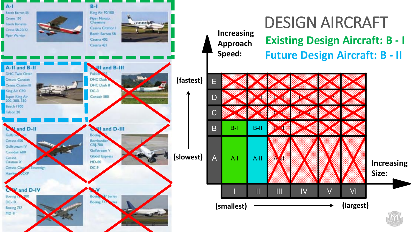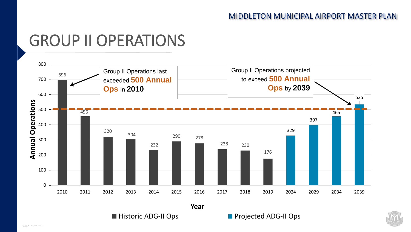#### GROUP II OPERATIONS



■ Historic ADG-II Ops Projected ADG-II Ops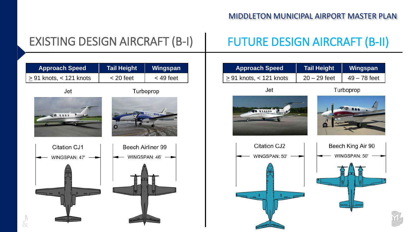#### EXISTING DESIGN AIRCRAFT (B-I)

#### FUTURE DESIGN AIRCRAFT (B-II)



| <b>Approach Speed</b>               | <b>Tail Height</b> | Wingspan       |
|-------------------------------------|--------------------|----------------|
| $\frac{1}{2}$ 91 knots, < 121 knots | $20 - 29$ feet     | $49 - 78$ feet |



Turboprop





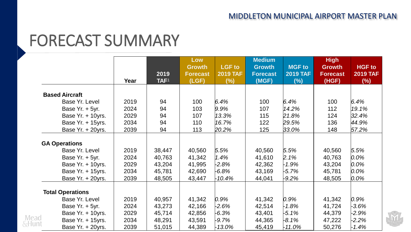#### FORECAST SUMMARY

|       |                         |      |                  | Low                              |                                  | <b>Medium</b>                    |                                  | <b>High</b>                      |                                  |
|-------|-------------------------|------|------------------|----------------------------------|----------------------------------|----------------------------------|----------------------------------|----------------------------------|----------------------------------|
|       |                         |      | 2019             | <b>Growth</b><br><b>Forecast</b> | <b>LGF</b> to<br><b>2019 TAF</b> | <b>Growth</b><br><b>Forecast</b> | <b>MGF to</b><br><b>2019 TAF</b> | <b>Growth</b><br><b>Forecast</b> | <b>HGF</b> to<br><b>2019 TAF</b> |
|       |                         | Year | TAF <sup>1</sup> | (LGF)                            | (%)                              | (MGF)                            | (%)                              | (HGF)                            | $(\%)$                           |
|       | <b>Based Aircraft</b>   |      |                  |                                  |                                  |                                  |                                  |                                  |                                  |
|       | Base Yr. Level          | 2019 | 94               | 100                              | 6.4%                             | 100                              | $6.4\%$                          | 100                              | $6.4\%$                          |
|       | Base Yr. + 5yr.         | 2024 | 94               | 103                              | $9.9\%$                          | 107                              | 14.2%                            | 112                              | 19.1%                            |
|       | Base Yr. + 10yrs.       | 2029 | 94               | 107                              | $ 13.3\%$                        | 115                              | 21.8%                            | 124                              | 32.4%                            |
|       | Base Yr. + 15yrs.       | 2034 | 94               | 110                              | 16.7%                            | 122                              | 29.5%                            | 136                              | 44.9%                            |
|       | Base Yr. + 20yrs.       | 2039 | 94               | 113                              | 20.2%                            | 125                              | 33.0%                            | 148                              | 57.2%                            |
|       | <b>GA Operations</b>    |      |                  |                                  |                                  |                                  |                                  |                                  |                                  |
|       | Base Yr. Level          | 2019 | 38,447           | 40,560                           | 5.5%                             | 40,560                           | 5.5%                             | 40,560                           | 5.5%                             |
|       | Base Yr. + 5yr.         | 2024 | 40,763           | 41,342                           | 1.4%                             | 41,610                           | 2.1%                             | 40,763                           | $0.0\%$                          |
|       | Base Yr. + 10yrs.       | 2029 | 43,204           | 41,995                           | $-2.8%$                          | 42,362                           | $-1.9\%$                         | 43,204                           | $ 0.0\%$                         |
|       | Base Yr. + 15yrs.       | 2034 | 45,781           | 42,690                           | $-6.8\%$                         | 43,169                           | $-5.7\%$                         | 45,781                           | $ 0.0\%$                         |
|       | Base Yr. + 20yrs.       | 2039 | 48,505           | 43,447                           | $-10.4\%$                        | 44,041                           | -9.2%                            | 48,505                           | $ 0.0\%$                         |
|       | <b>Total Operations</b> |      |                  |                                  |                                  |                                  |                                  |                                  |                                  |
|       | Base Yr. Level          | 2019 | 40,957           | 41,342                           | $ 0.9\% $                        | 41,342                           | $ 0.9\% $                        | 41,342                           | $0.9\%$                          |
|       | Base Yr. + 5yr.         | 2024 | 43,273           | 42,166                           | $-2.6%$                          | 42,514                           | $-1.8%$                          | 41,724                           | $-3.6%$                          |
|       | Base Yr. + 10yrs.       | 2029 | 45,714           | 42,856                           | $-6.3\%$                         | 43,401                           | $-5.1\%$                         | 44,379                           | $-2.9%$                          |
| Mead  | Base Yr. + 15yrs.       | 2034 | 48,291           | 43,591                           | $-9.7\%$                         | 44,365                           | -8.1%                            | 47,222                           | $-2.2%$                          |
| &Hunt | Base Yr. + 20yrs.       | 2039 | 51,015           | 44,389                           | $-13.0\%$                        | 45,419                           | $-11.0%$                         | 50,276                           | $-1.4%$                          |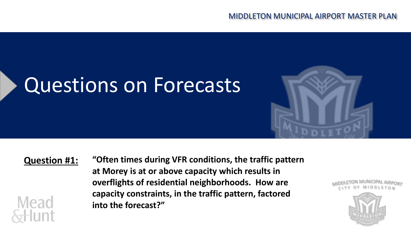# Questions on Forecasts



#### **Question #1:**

**Mead** 

**"Often times during VFR conditions, the traffic pattern at Morey is at or above capacity which results in overflights of residential neighborhoods. How are capacity constraints, in the traffic pattern, factored into the forecast?"**

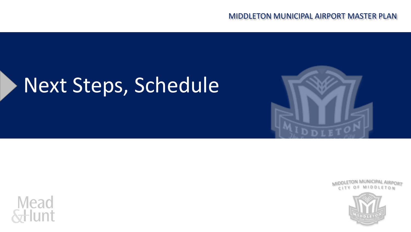# Next Steps, Schedule